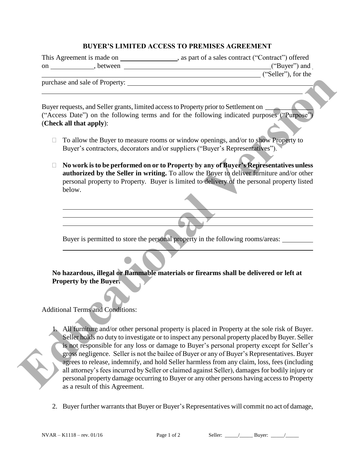## **BUYER'S LIMITED ACCESS TO PREMISES AGREEMENT**

This Agreement is made on , as part of a sales contract ("Contract") offered on , between ("Buyer") and

("Seller"), for the

purchase and sale of Property:

 $\overline{a}$ 

 $\overline{a}$ 

 $\overline{a}$ 

Buyer requests, and Seller grants, limited access to Property prior to Settlement on ("Access Date") on the following terms and for the following indicated purposes ("Purpose") (**Check all that apply**):

- $\Box$  To allow the Buyer to measure rooms or window openings, and/or to show Property to Buyer's contractors, decorators and/or suppliers ("Buyer's Representatives").
- **No work is to be performed on or to Property by any of Buyer's Representatives unless authorized by the Seller in writing.** To allow the Buyer to deliver furniture and/or other personal property to Property. Buyer is limited to delivery of the personal property listed below.

Buyer is permitted to store the personal property in the following rooms/areas:

**No hazardous, illegal or flammable materials or firearms shall be delivered or left at Property by the Buyer.** 

Additional Terms and Conditions:

- 1. All furniture and/or other personal property is placed in Property at the sole risk of Buyer. Seller holds no duty to investigate or to inspect any personal property placed by Buyer. Seller is not responsible for any loss or damage to Buyer's personal property except for Seller's gross negligence. Seller is not the bailee of Buyer or any of Buyer's Representatives. Buyer agrees to release, indemnify, and hold Seller harmless from any claim, loss, fees (including all attorney's fees incurred by Seller or claimed against Seller), damages for bodily injury or personal property damage occurring to Buyer or any other persons having access to Property as a result of this Agreement. **EXECUTE:**<br> **EXECUTE:** The property is and for the following indicated purpose CAcess Co.<br> **EDUCATE CONSIDENT CONSIDENT**<br> **EXECUTE:**<br> **EXECUTE:**<br> **EXECUTE:**<br> **EXECUTE:**<br> **EXECUTE:**<br> **EXECUTE:**<br> **EXECUTE:**<br> **EXECUTE:**<br> **EXE** 
	- 2. Buyer further warrants that Buyer or Buyer's Representatives will commit no act of damage,